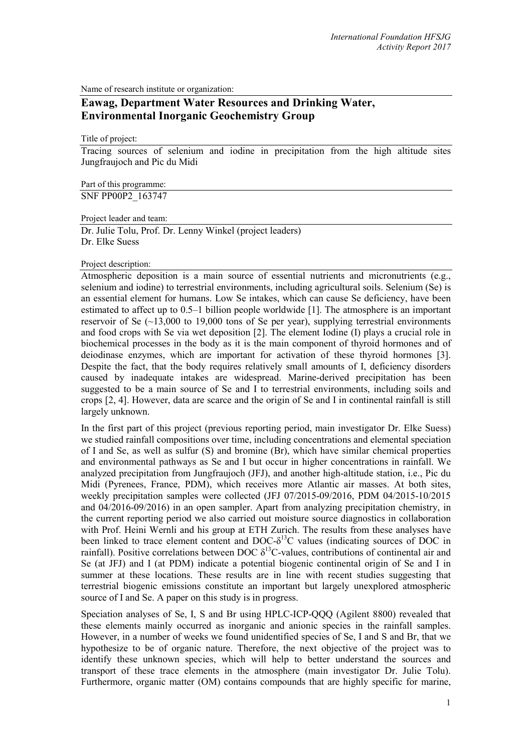Name of research institute or organization:

# **Eawag, Department Water Resources and Drinking Water, Environmental Inorganic Geochemistry Group**

Title of project:

Tracing sources of selenium and iodine in precipitation from the high altitude sites Jungfraujoch and Pic du Midi

Part of this programme: SNF PP00P2\_163747

Project leader and team: Dr. Julie Tolu, Prof. Dr. Lenny Winkel (project leaders) Dr. Elke Suess

Project description:

Atmospheric deposition is a main source of essential nutrients and micronutrients (e.g., selenium and iodine) to terrestrial environments, including agricultural soils. Selenium (Se) is an essential element for humans. Low Se intakes, which can cause Se deficiency, have been estimated to affect up to 0.5–1 billion people worldwide [1]. The atmosphere is an important reservoir of Se  $(\sim 13,000)$  to 19,000 tons of Se per year), supplying terrestrial environments and food crops with Se via wet deposition [2]. The element Iodine (I) plays a crucial role in biochemical processes in the body as it is the main component of thyroid hormones and of deiodinase enzymes, which are important for activation of these thyroid hormones [3]. Despite the fact, that the body requires relatively small amounts of I, deficiency disorders caused by inadequate intakes are widespread. Marine-derived precipitation has been suggested to be a main source of Se and I to terrestrial environments, including soils and crops [2, 4]. However, data are scarce and the origin of Se and I in continental rainfall is still largely unknown.

In the first part of this project (previous reporting period, main investigator Dr. Elke Suess) we studied rainfall compositions over time, including concentrations and elemental speciation of I and Se, as well as sulfur (S) and bromine (Br), which have similar chemical properties and environmental pathways as Se and I but occur in higher concentrations in rainfall. We analyzed precipitation from Jungfraujoch (JFJ), and another high-altitude station, i.e., Pic du Midi (Pyrenees, France, PDM), which receives more Atlantic air masses. At both sites, weekly precipitation samples were collected (JFJ 07/2015-09/2016, PDM 04/2015-10/2015 and 04/2016-09/2016) in an open sampler. Apart from analyzing precipitation chemistry, in the current reporting period we also carried out moisture source diagnostics in collaboration with Prof. Heini Wernli and his group at ETH Zurich. The results from these analyses have been linked to trace element content and DOC- $\delta^{13}$ C values (indicating sources of DOC in rainfall). Positive correlations between DOC  $\delta^{13}$ C-values, contributions of continental air and Se (at JFJ) and I (at PDM) indicate a potential biogenic continental origin of Se and I in summer at these locations. These results are in line with recent studies suggesting that terrestrial biogenic emissions constitute an important but largely unexplored atmospheric source of I and Se. A paper on this study is in progress.

Speciation analyses of Se, I, S and Br using HPLC-ICP-QQQ (Agilent 8800) revealed that these elements mainly occurred as inorganic and anionic species in the rainfall samples. However, in a number of weeks we found unidentified species of Se, I and S and Br, that we hypothesize to be of organic nature. Therefore, the next objective of the project was to identify these unknown species, which will help to better understand the sources and transport of these trace elements in the atmosphere (main investigator Dr. Julie Tolu). Furthermore, organic matter (OM) contains compounds that are highly specific for marine,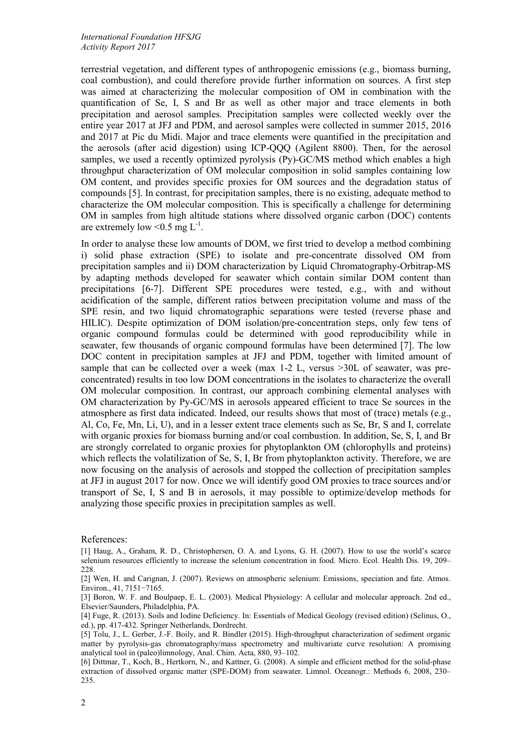terrestrial vegetation, and different types of anthropogenic emissions (e.g., biomass burning, coal combustion), and could therefore provide further information on sources. A first step was aimed at characterizing the molecular composition of OM in combination with the quantification of Se, I, S and Br as well as other major and trace elements in both precipitation and aerosol samples. Precipitation samples were collected weekly over the entire year 2017 at JFJ and PDM, and aerosol samples were collected in summer 2015, 2016 and 2017 at Pic du Midi. Major and trace elements were quantified in the precipitation and the aerosols (after acid digestion) using ICP-QQQ (Agilent 8800). Then, for the aerosol samples, we used a recently optimized pyrolysis (Py)-GC/MS method which enables a high throughput characterization of OM molecular composition in solid samples containing low OM content, and provides specific proxies for OM sources and the degradation status of compounds [5]. In contrast, for precipitation samples, there is no existing, adequate method to characterize the OM molecular composition. This is specifically a challenge for determining OM in samples from high altitude stations where dissolved organic carbon (DOC) contents are extremely low  $\leq 0.5$  mg L<sup>-1</sup>.

In order to analyse these low amounts of DOM, we first tried to develop a method combining i) solid phase extraction (SPE) to isolate and pre-concentrate dissolved OM from precipitation samples and ii) DOM characterization by Liquid Chromatography-Orbitrap-MS by adapting methods developed for seawater which contain similar DOM content than precipitations [6-7]. Different SPE procedures were tested, e.g., with and without acidification of the sample, different ratios between precipitation volume and mass of the SPE resin, and two liquid chromatographic separations were tested (reverse phase and HILIC). Despite optimization of DOM isolation/pre-concentration steps, only few tens of organic compound formulas could be determined with good reproducibility while in seawater, few thousands of organic compound formulas have been determined [7]. The low DOC content in precipitation samples at JFJ and PDM, together with limited amount of sample that can be collected over a week (max 1-2 L, versus >30L of seawater, was preconcentrated) results in too low DOM concentrations in the isolates to characterize the overall OM molecular composition. In contrast, our approach combining elemental analyses with OM characterization by Py-GC/MS in aerosols appeared efficient to trace Se sources in the atmosphere as first data indicated. Indeed, our results shows that most of (trace) metals (e.g., Al, Co, Fe, Mn, Li, U), and in a lesser extent trace elements such as Se, Br, S and I, correlate with organic proxies for biomass burning and/or coal combustion. In addition, Se, S, I, and Br are strongly correlated to organic proxies for phytoplankton OM (chlorophylls and proteins) which reflects the volatilization of Se, S, I, Br from phytoplankton activity. Therefore, we are now focusing on the analysis of aerosols and stopped the collection of precipitation samples at JFJ in august 2017 for now. Once we will identify good OM proxies to trace sources and/or transport of Se, I, S and B in aerosols, it may possible to optimize/develop methods for analyzing those specific proxies in precipitation samples as well.

References:

[1] Haug, A., Graham, R. D., Christophersen, O. A. and Lyons, G. H. (2007). How to use the world's scarce selenium resources efficiently to increase the selenium concentration in food. Micro. Ecol. Health Dis. 19, 209– 228.

[2] Wen, H. and Carignan, J. (2007). Reviews on atmospheric selenium: Emissions, speciation and fate. Atmos. Environ., 41, 7151−7165.

[3] Boron, W. F. and Boulpaep, E. L. (2003). Medical Physiology: A cellular and molecular approach. 2nd ed., Elsevier/Saunders, Philadelphia, PA.

[4] Fuge, R. (2013). Soils and Iodine Deficiency. In: Essentials of Medical Geology (revised edition) (Selinus, O., ed.), pp. 417-432. Springer Netherlands, Dordrecht.

[5] Tolu, J., L. Gerber, J.-F. Boily, and R. Bindler (2015). High-throughput characterization of sediment organic matter by pyrolysis-gas chromatography/mass spectrometry and multivariate curve resolution: A promising analytical tool in (paleo)limnology, Anal. Chim. Acta, 880, 93–102.

[6] Dittmar, T., Koch, B., Hertkorn, N., and Kattner, G. (2008). A simple and efficient method for the solid-phase extraction of dissolved organic matter (SPE-DOM) from seawater. Limnol. Oceanogr.: Methods 6, 2008, 230– 235.